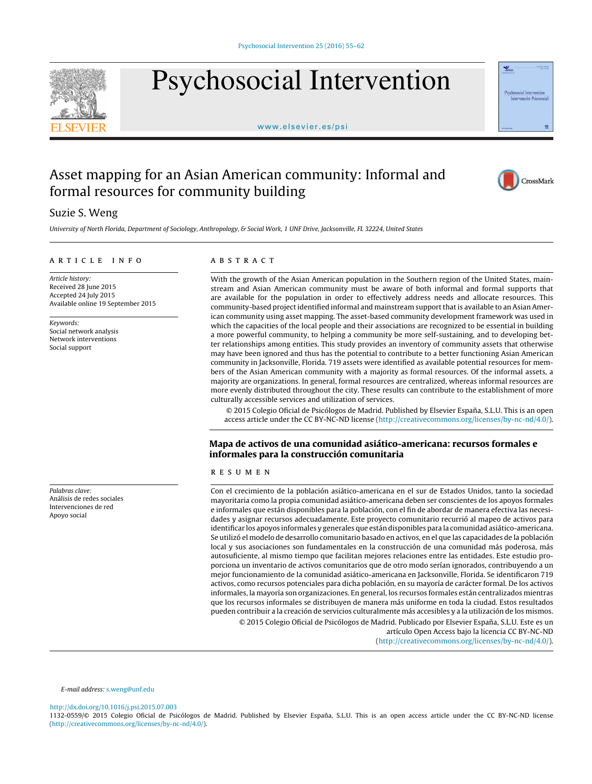

Psychosocial Intervention



<www.elsevier.es/psi>

# Asset mapping for an Asian American community: Informal and formal resources for community building



# Suzie S. Weng

University of North Florida, Department of Sociology, Anthropology, & Social Work, 1 UNF Drive, Jacksonville, FL 32224, United States

#### ARTICLE INFO

Article history: Received 28 June 2015 Accepted 24 July 2015 Available online 19 September 2015

Keywords: Social network analysis Network interventions Social support

Palabras clave: Análisis de redes sociales Intervenciones de red Apoyo social

## A B S T R A C T

With the growth of the Asian American population in the Southern region of the United States, mainstream and Asian American community must be aware of both informal and formal supports that are available for the population in order to effectively address needs and allocate resources. This community-based project identified informal and mainstream support that is available to an Asian American community using asset mapping. The asset-based community development framework was used in which the capacities of the local people and their associations are recognized to be essential in building a more powerful community, to helping a community be more self-sustaining, and to developing better relationships among entities. This study provides an inventory of community assets that otherwise may have been ignored and thus has the potential to contribute to a better functioning Asian American community in Jacksonville, Florida. 719 assets were identified as available potential resources for members of the Asian American community with a majority as formal resources. Of the informal assets, a majority are organizations. In general, formal resources are centralized, whereas informal resources are more evenly distributed throughout the city. These results can contribute to the establishment of more culturally accessible services and utilization of services.

© 2015 Colegio Oficial de Psicólogos de Madrid. Published by Elsevier España, S.L.U. This is an open access article under the CC BY-NC-ND license [\(http://creativecommons.org/licenses/by-nc-nd/4.0/](http://creativecommons.org/licenses/by-nc-nd/4.0/)).

# **Mapa de activos de una comunidad asiático-americana: recursos formales e informales para la construcción comunitaria**

#### r e s u m e n

Con el crecimiento de la población asiático-americana en el sur de Estados Unidos, tanto la sociedad mayoritaria como la propia comunidad asiático-americana deben ser conscientes de los apoyos formales e informales que están disponibles para la población, con el fin de abordar de manera efectiva las necesidades y asignar recursos adecuadamente. Este proyecto comunitario recurrió al mapeo de activos para identificar los apoyos informales y generales que están disponibles para la comunidad asiático-americana. Se utilizó el modelo de desarrollo comunitario basado en activos, en el que las capacidades de la población local y sus asociaciones son fundamentales en la construcción de una comunidad más poderosa, más autosuficiente, al mismo tiempo que facilitan mejores relaciones entre las entidades. Este estudio proporciona un inventario de activos comunitarios que de otro modo serían ignorados, contribuyendo a un mejor funcionamiento de la comunidad asiático-americana en Jacksonville, Florida. Se identificaron 719 activos, como recursos potenciales para dicha población, en su mayoría de carácter formal. De los activos informales, la mayoría son organizaciones. En general, los recursos formales están centralizados mientras que los recursos informales se distribuyen de manera más uniforme en toda la ciudad. Estos resultados pueden contribuir a la creación de servicios culturalmente más accesibles y a la utilización de los mismos.

© 2015 Colegio Oficial de Psicólogos de Madrid. Publicado por Elsevier España, S.L.U. Este es un artículo Open Access bajo la licencia CC BY-NC-ND [\(http://creativecommons.org/licenses/by-nc-nd/4.0/](http://creativecommons.org/licenses/by-nc-nd/4.0/)).

E-mail address: [s.weng@unf.edu](mailto:s.weng@unf.edu)

[http://dx.doi.org/10.1016/j.psi.2015.07.003](dx.doi.org/10.1016/j.psi.2015.07.003)

1132-0559/© 2015 Colegio Oficial de Psicólogos de Madrid. Published by Elsevier España, S.L.U. This is an open access article under the CC BY-NC-ND license [\(http://creativecommons.org/licenses/by-nc-nd/4.0/\)](http://creativecommons.org/licenses/by-nc-nd/4.0/).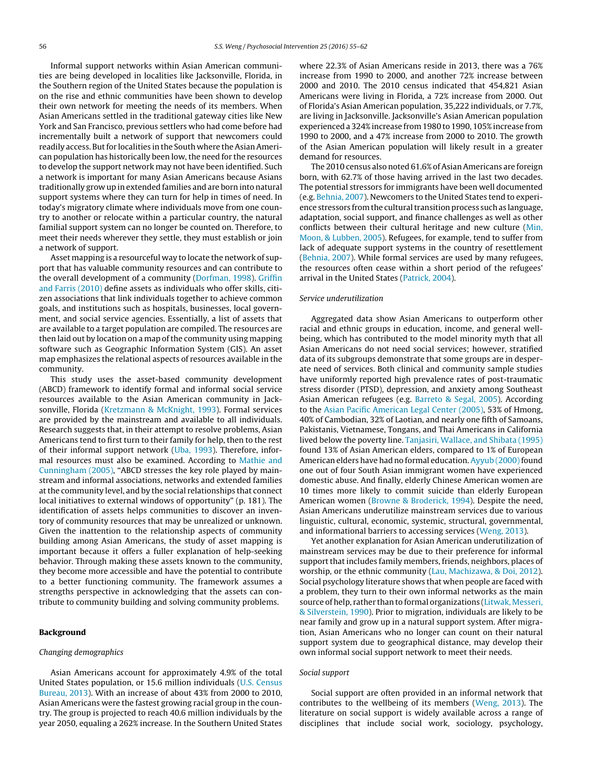Informal support networks within Asian American communities are being developed in localities like Jacksonville, Florida, in the Southern region of the United States because the population is on the rise and ethnic communities have been shown to develop their own network for meeting the needs of its members. When Asian Americans settled in the traditional gateway cities like New York and San Francisco, previous settlers who had come before had incrementally built a network of support that newcomers could readily access. But for localities in the South where the Asian American population has historically been low,the need for the resources to develop the support network may not have been identified. Such a network is important for many Asian Americans because Asians traditionally grow up in extended families and are born into natural support systems where they can turn for help in times of need. In today's migratory climate where individuals move from one country to another or relocate within a particular country, the natural familial support system can no longer be counted on. Therefore, to meet their needs wherever they settle, they must establish or join a network of support.

Asset mapping is a resourceful way to locate the network of support that has valuable community resources and can contribute to the overall development of a community [\(Dorfman,](#page-6-0) [1998\).](#page-6-0) [Griffin](#page-6-0) [and](#page-6-0) [Farris](#page-6-0) [\(2010\)](#page-6-0) define assets as individuals who offer skills, citizen associations that link individuals together to achieve common goals, and institutions such as hospitals, businesses, local government, and social service agencies. Essentially, a list of assets that are available to a target population are compiled. The resources are then laid out by location on a map of the community using mapping software such as Geographic Information System (GIS). An asset map emphasizes the relational aspects of resources available in the community.

This study uses the asset-based community development (ABCD) framework to identify formal and informal social service resources available to the Asian American community in Jacksonville, Florida [\(Kretzmann](#page-6-0) [&](#page-6-0) [McKnight,](#page-6-0) [1993\).](#page-6-0) Formal services are provided by the mainstream and available to all individuals. Research suggests that, in their attempt to resolve problems, Asian Americans tend to first turn to their family for help, then to the rest of their informal support network ([Uba,](#page-7-0) [1993\).](#page-7-0) Therefore, informal resources must also be examined. According to [Mathie](#page-6-0) [and](#page-6-0) [Cunningham](#page-6-0) [\(2005\),](#page-6-0) "ABCD stresses the key role played by mainstream and informal associations, networks and extended families atthe community level, and by the social relationships that connect local initiatives to external windows of opportunity" (p. 181). The identification of assets helps communities to discover an inventory of community resources that may be unrealized or unknown. Given the inattention to the relationship aspects of community building among Asian Americans, the study of asset mapping is important because it offers a fuller explanation of help-seeking behavior. Through making these assets known to the community, they become more accessible and have the potential to contribute to a better functioning community. The framework assumes a strengths perspective in acknowledging that the assets can contribute to community building and solving community problems.

#### **Background**

#### Changing demographics

Asian Americans account for approximately 4.9% of the total United States population, or 15.6 million individuals ([U.S.](#page-7-0) [Census](#page-7-0) [Bureau,](#page-7-0) [2013\).](#page-7-0) With an increase of about 43% from 2000 to 2010, Asian Americans were the fastest growing racial group in the country. The group is projected to reach 40.6 million individuals by the year 2050, equaling a 262% increase. In the Southern United States

where 22.3% of Asian Americans reside in 2013, there was a 76% increase from 1990 to 2000, and another 72% increase between 2000 and 2010. The 2010 census indicated that 454,821 Asian Americans were living in Florida, a 72% increase from 2000. Out of Florida's Asian American population, 35,222 individuals, or 7.7%, are living in Jacksonville. Jacksonville's Asian American population experienced a 324% increase from 1980 to 1990, 105% increase from 1990 to 2000, and a 47% increase from 2000 to 2010. The growth of the Asian American population will likely result in a greater demand for resources.

The 2010 census also noted 61.6% of Asian Americans are foreign born, with 62.7% of those having arrived in the last two decades. The potential stressors for immigrants have been well documented (e.g. [Behnia,](#page-6-0) [2007\).](#page-6-0) Newcomers to the United States tend to experience stressors from the cultural transition process such as language, adaptation, social support, and finance challenges as well as other conflicts between their cultural heritage and new culture ([Min,](#page-6-0) [Moon,](#page-6-0) [&](#page-6-0) [Lubben,](#page-6-0) [2005\).](#page-6-0) Refugees, for example, tend to suffer from lack of adequate support systems in the country of resettlement [\(Behnia,](#page-6-0) [2007\).](#page-6-0) While formal services are used by many refugees, the resources often cease within a short period of the refugees' arrival in the United States [\(Patrick,](#page-7-0) [2004\).](#page-7-0)

#### Service underutilization

Aggregated data show Asian Americans to outperform other racial and ethnic groups in education, income, and general wellbeing, which has contributed to the model minority myth that all Asian Americans do not need social services; however, stratified data of its subgroups demonstrate that some groups are in desperate need of services. Both clinical and community sample studies have uniformly reported high prevalence rates of post-traumatic stress disorder (PTSD), depression, and anxiety among Southeast Asian American refugees (e.g. [Barreto](#page-6-0) [&](#page-6-0) [Segal,](#page-6-0) [2005\).](#page-6-0) According to the [Asian](#page-6-0) [Pacific](#page-6-0) [American](#page-6-0) [Legal](#page-6-0) [Center](#page-6-0) [\(2005\),](#page-6-0) 53% of Hmong, 40% of Cambodian, 32% of Laotian, and nearly one fifth of Samoans, Pakistanis, Vietnamese, Tongans, and Thai Americans in California lived below the poverty line. [Tanjasiri,](#page-7-0) [Wallace,](#page-7-0) [and](#page-7-0) [Shibata](#page-7-0) [\(1995\)](#page-7-0) found 13% of Asian American elders, compared to 1% of European American elders have had no formal education. [Ayyub](#page-6-0) (2000) found one out of four South Asian immigrant women have experienced domestic abuse. And finally, elderly Chinese American women are 10 times more likely to commit suicide than elderly European American women ([Browne](#page-6-0) [&](#page-6-0) [Broderick,](#page-6-0) [1994\).](#page-6-0) Despite the need, Asian Americans underutilize mainstream services due to various linguistic, cultural, economic, systemic, structural, governmental, and informational barriers to accessing services ([Weng,](#page-7-0) [2013\).](#page-7-0)

Yet another explanation for Asian American underutilization of mainstream services may be due to their preference for informal support that includes family members, friends, neighbors, places of worship, or the ethnic community [\(Lau,](#page-6-0) [Machizawa,](#page-6-0) [&](#page-6-0) [Doi,](#page-6-0) [2012\).](#page-6-0) Social psychology literature shows that when people are faced with a problem, they turn to their own informal networks as the main source of help, rather than to formal organizations [\(Litwak,](#page-6-0) [Messeri,](#page-6-0) [&](#page-6-0) [Silverstein,](#page-6-0) [1990\).](#page-6-0) Prior to migration, individuals are likely to be near family and grow up in a natural support system. After migration, Asian Americans who no longer can count on their natural support system due to geographical distance, may develop their own informal social support network to meet their needs.

#### Social support

Social support are often provided in an informal network that contributes to the wellbeing of its members [\(Weng,](#page-7-0) [2013\).](#page-7-0) The literature on social support is widely available across a range of disciplines that include social work, sociology, psychology,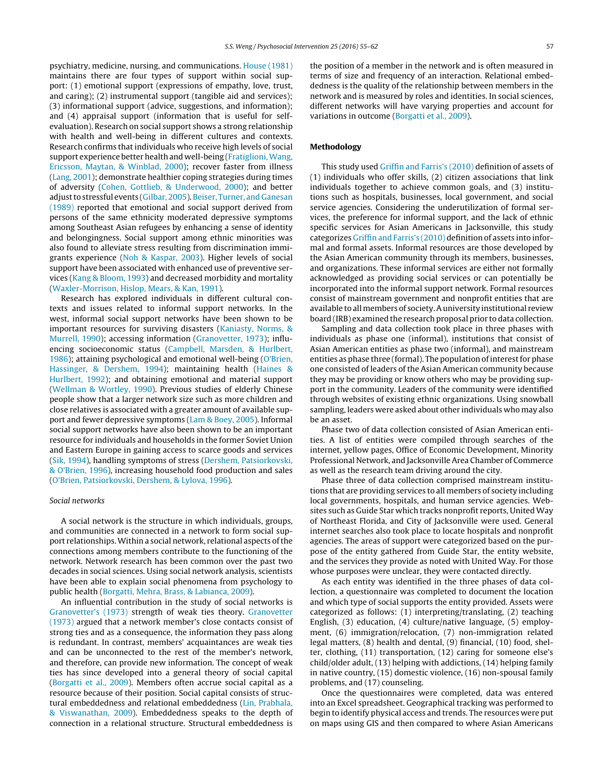psychiatry, medicine, nursing, and communications. [House](#page-6-0) [\(1981\)](#page-6-0) maintains there are four types of support within social support: (1) emotional support (expressions of empathy, love, trust, and caring); (2) instrumental support (tangible aid and services); (3) informational support (advice, suggestions, and information); and (4) appraisal support (information that is useful for selfevaluation). Research on social support shows a strong relationship with health and well-being in different cultures and contexts. Research confirms that individuals who receive high levels of social support experience better health and well-being (Fratiglioni, Wang, [Ericsson,](#page-6-0) [Maytan,](#page-6-0) [&](#page-6-0) [Winblad,](#page-6-0) [2000\);](#page-6-0) recover faster from illness ([Lang,](#page-6-0) [2001\);](#page-6-0) demonstrate healthier coping strategies during times of adversity [\(Cohen,](#page-6-0) [Gottlieb,](#page-6-0) [&](#page-6-0) [Underwood,](#page-6-0) [2000\);](#page-6-0) and better adjust to stressful events [\(Gilbar,](#page-6-0) 2005). Beiser, [Turner,](#page-6-0) [and](#page-6-0) [Ganesan](#page-6-0) [\(1989\)](#page-6-0) reported that emotional and social support derived from persons of the same ethnicity moderated depressive symptoms among Southeast Asian refugees by enhancing a sense of identity and belongingness. Social support among ethnic minorities was also found to alleviate stress resulting from discrimination immigrants experience ([Noh](#page-6-0) [&](#page-6-0) [Kaspar,](#page-6-0) [2003\).](#page-6-0) Higher levels of social support have been associated with enhanced use of preventive services [\(Kang](#page-6-0) [&](#page-6-0) [Bloom,](#page-6-0) [1993\)](#page-6-0) and decreased morbidity and mortality ([Waxler-Morrison,](#page-7-0) [Hislop,](#page-7-0) [Mears,](#page-7-0) [&](#page-7-0) [Kan,](#page-7-0) [1991\).](#page-7-0)

Research has explored individuals in different cultural contexts and issues related to informal support networks. In the west, informal social support networks have been shown to be important resources for surviving disasters [\(Kaniasty,](#page-6-0) [Norms,](#page-6-0) [&](#page-6-0) [Murrell,](#page-6-0) [1990\);](#page-6-0) accessing information ([Granovetter,](#page-6-0) [1973\);](#page-6-0) influencing socioeconomic status [\(Campbell,](#page-6-0) [Marsden,](#page-6-0) [&](#page-6-0) [Hurlbert,](#page-6-0) [1986\);](#page-6-0) attaining psychological and emotional well-being [\(O'Brien,](#page-6-0) [Hassinger,](#page-6-0) [&](#page-6-0) [Dershem,](#page-6-0) [1994\);](#page-6-0) maintaining health ([Haines](#page-6-0) [&](#page-6-0) [Hurlbert,](#page-6-0) [1992\);](#page-6-0) and obtaining emotional and material support ([Wellman](#page-7-0) [&](#page-7-0) [Wortley,](#page-7-0) [1990\).](#page-7-0) Previous studies of elderly Chinese people show that a larger network size such as more children and close relatives is associated with a greater amount of available support and fewer depressive symptoms ([Lam](#page-6-0) [&](#page-6-0) [Boey,](#page-6-0) [2005\).](#page-6-0) Informal social support networks have also been shown to be an important resource for individuals and households in the former Soviet Union and Eastern Europe in gaining access to scarce goods and services ([Sik,](#page-7-0) [1994\),](#page-7-0) handling symptoms of stress ([Dershem,](#page-6-0) [Patsiorkovski,](#page-6-0) [&](#page-6-0) [O'Brien,](#page-6-0) [1996\),](#page-6-0) increasing household food production and sales ([O'Brien,](#page-7-0) [Patsiorkovski,](#page-7-0) [Dershem,](#page-7-0) [&](#page-7-0) [Lylova,](#page-7-0) [1996\).](#page-7-0)

#### Social networks

A social network is the structure in which individuals, groups, and communities are connected in a network to form social support relationships. Within a social network, relational aspects of the connections among members contribute to the functioning of the network. Network research has been common over the past two decades in social sciences. Using social network analysis, scientists have been able to explain social phenomena from psychology to public health ([Borgatti,](#page-6-0) [Mehra,](#page-6-0) [Brass,](#page-6-0) [&](#page-6-0) [Labianca,](#page-6-0) [2009\).](#page-6-0)

An influential contribution in the study of social networks is [Granovetter's](#page-6-0) [\(1973\)](#page-6-0) strength of weak ties theory. [Granovetter](#page-6-0) [\(1973\)](#page-6-0) argued that a network member's close contacts consist of strong ties and as a consequence, the information they pass along is redundant. In contrast, members' acquaintances are weak ties and can be unconnected to the rest of the member's network, and therefore, can provide new information. The concept of weak ties has since developed into a general theory of social capital ([Borgatti](#page-6-0) et [al.,](#page-6-0) [2009\).](#page-6-0) Members often accrue social capital as a resource because of their position. Social capital consists of structural embeddedness and relational embeddedness ([Lin,](#page-6-0) [Prabhala,](#page-6-0) [&](#page-6-0) [Viswanathan,](#page-6-0) [2009\).](#page-6-0) Embeddedness speaks to the depth of connection in a relational structure. Structural embeddedness is

the position of a member in the network and is often measured in terms of size and frequency of an interaction. Relational embeddedness is the quality of the relationship between members in the network and is measured by roles and identities. In social sciences, different networks will have varying properties and account for variations in outcome [\(Borgatti](#page-6-0) et [al.,](#page-6-0) [2009\).](#page-6-0)

#### **Methodology**

This study used [Griffin](#page-6-0) [and](#page-6-0) [Farris's](#page-6-0) [\(2010\)](#page-6-0) definition of assets of (1) individuals who offer skills, (2) citizen associations that link individuals together to achieve common goals, and (3) institutions such as hospitals, businesses, local government, and social service agencies. Considering the underutilization of formal services, the preference for informal support, and the lack of ethnic specific services for Asian Americans in Jacksonville, this study categorizes [Griffin](#page-6-0) [and](#page-6-0) [Farris's](#page-6-0) [\(2010\)](#page-6-0) definition of assets into informal and formal assets. Informal resources are those developed by the Asian American community through its members, businesses, and organizations. These informal services are either not formally acknowledged as providing social services or can potentially be incorporated into the informal support network. Formal resources consist of mainstream government and nonprofit entities that are available to all members of society. A university institutional review board (IRB) examined the research proposal prior to data collection.

Sampling and data collection took place in three phases with individuals as phase one (informal), institutions that consist of Asian American entities as phase two (informal), and mainstream entities as phase three (formal). The population of interest for phase one consisted of leaders of the Asian American community because they may be providing or know others who may be providing support in the community. Leaders of the community were identified through websites of existing ethnic organizations. Using snowball sampling, leaders were asked about other individuals who may also be an asset.

Phase two of data collection consisted of Asian American entities. A list of entities were compiled through searches of the internet, yellow pages, Office of Economic Development, Minority Professional Network, and Jacksonville Area Chamber of Commerce as well as the research team driving around the city.

Phase three of data collection comprised mainstream institutions that are providing services to all members of society including local governments, hospitals, and human service agencies. Websites such as Guide Star which tracks nonprofit reports, United Way of Northeast Florida, and City of Jacksonville were used. General internet searches also took place to locate hospitals and nonprofit agencies. The areas of support were categorized based on the purpose of the entity gathered from Guide Star, the entity website, and the services they provide as noted with United Way. For those whose purposes were unclear, they were contacted directly.

As each entity was identified in the three phases of data collection, a questionnaire was completed to document the location and which type of social supports the entity provided. Assets were categorized as follows: (1) interpreting/translating, (2) teaching English, (3) education, (4) culture/native language, (5) employment, (6) immigration/relocation, (7) non-immigration related legal matters, (8) health and dental, (9) financial, (10) food, shelter, clothing, (11) transportation, (12) caring for someone else's child/older adult, (13) helping with addictions, (14) helping family in native country, (15) domestic violence, (16) non-spousal family problems, and (17) counseling.

Once the questionnaires were completed, data was entered into an Excel spreadsheet. Geographical tracking was performed to begin to identify physical access and trends. The resources were put on maps using GIS and then compared to where Asian Americans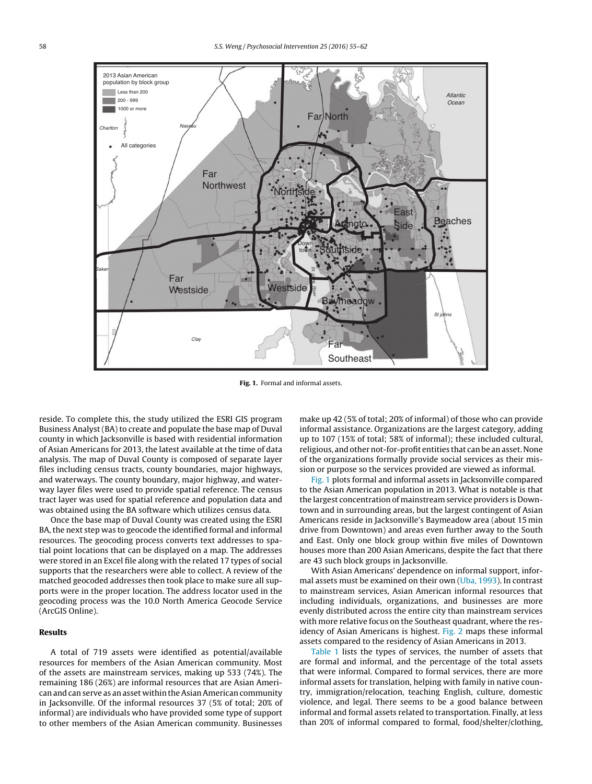

**Fig. 1.** Formal and informal assets.

reside. To complete this, the study utilized the ESRI GIS program Business Analyst (BA) to create and populate the base map of Duval county in which Jacksonville is based with residential information of Asian Americans for 2013, the latest available at the time of data analysis. The map of Duval County is composed of separate layer files including census tracts, county boundaries, major highways, and waterways. The county boundary, major highway, and waterway layer files were used to provide spatial reference. The census tract layer was used for spatial reference and population data and was obtained using the BA software which utilizes census data.

Once the base map of Duval County was created using the ESRI BA, the next step was to geocode the identified formal and informal resources. The geocoding process converts text addresses to spatial point locations that can be displayed on a map. The addresses were stored in an Excel file along with the related 17 types of social supports that the researchers were able to collect. A review of the matched geocoded addresses then took place to make sure all supports were in the proper location. The address locator used in the geocoding process was the 10.0 North America Geocode Service (ArcGIS Online).

#### **Results**

A total of 719 assets were identified as potential/available resources for members of the Asian American community. Most of the assets are mainstream services, making up 533 (74%). The remaining 186 (26%) are informal resources that are Asian American and can serve as an asset within the Asian American community in Jacksonville. Of the informal resources 37 (5% of total; 20% of informal) are individuals who have provided some type of support to other members of the Asian American community. Businesses

make up 42 (5% of total; 20% of informal) of those who can provide informal assistance. Organizations are the largest category, adding up to 107 (15% of total; 58% of informal); these included cultural, religious, and other not-for-profit entities that can be an asset. None of the organizations formally provide social services as their mission or purpose so the services provided are viewed as informal.

Fig. 1 plots formal and informal assets in Jacksonville compared to the Asian American population in 2013. What is notable is that the largest concentration of mainstream service providers is Downtown and in surrounding areas, but the largest contingent of Asian Americans reside in Jacksonville's Baymeadow area (about 15 min drive from Downtown) and areas even further away to the South and East. Only one block group within five miles of Downtown houses more than 200 Asian Americans, despite the fact that there are 43 such block groups in Jacksonville.

With Asian Americans' dependence on informal support, informal assets must be examined on their own ([Uba,](#page-7-0) [1993\).](#page-7-0) In contrast to mainstream services, Asian American informal resources that including individuals, organizations, and businesses are more evenly distributed across the entire city than mainstream services with more relative focus on the Southeast quadrant, where the residency of Asian Americans is highest. [Fig.](#page-4-0) 2 maps these informal assets compared to the residency of Asian Americans in 2013.

[Table](#page-4-0) 1 lists the types of services, the number of assets that are formal and informal, and the percentage of the total assets that were informal. Compared to formal services, there are more informal assets for translation, helping with family in native country, immigration/relocation, teaching English, culture, domestic violence, and legal. There seems to be a good balance between informal and formal assets related to transportation. Finally, at less than 20% of informal compared to formal, food/shelter/clothing,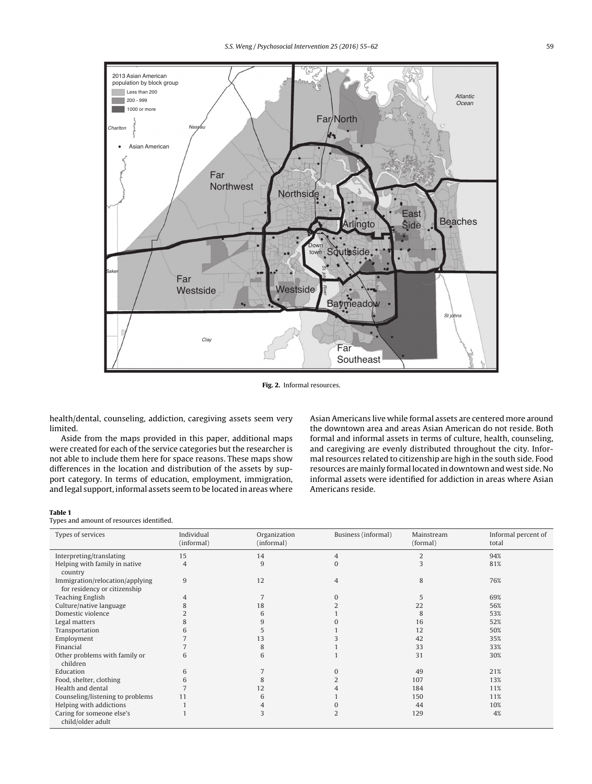<span id="page-4-0"></span>

**Fig. 2.** Informal resources.

health/dental, counseling, addiction, caregiving assets seem very limited.

Aside from the maps provided in this paper, additional maps were created for each of the service categories but the researcher is not able to include them here for space reasons. These maps show differences in the location and distribution of the assets by support category. In terms of education, employment, immigration, and legal support, informal assets seem to be located in areas where

Asian Americans live while formal assets are centered more around the downtown area and areas Asian American do not reside. Both formal and informal assets in terms of culture, health, counseling, and caregiving are evenly distributed throughout the city. Informal resources related to citizenship are high in the south side. Food resources are mainly formal located in downtown and west side. No informal assets were identified for addiction in areas where Asian Americans reside.

# **Table 1**

Types and amount of resources identified.

| Types of services                                               | Individual<br>(informal) | Organization<br>(informal) | Business (informal) | Mainstream<br>(formal) | Informal percent of<br>total |
|-----------------------------------------------------------------|--------------------------|----------------------------|---------------------|------------------------|------------------------------|
| Interpreting/translating                                        | 15                       | 14                         | 4                   |                        | 94%                          |
| Helping with family in native<br>country                        | 4                        | 9                          | 0                   | ζ                      | 81%                          |
| Immigration/relocation/applying<br>for residency or citizenship | 9                        | 12                         | 4                   | 8                      | 76%                          |
| <b>Teaching English</b>                                         |                          |                            |                     |                        | 69%                          |
| Culture/native language                                         |                          | 18                         |                     | 22                     | 56%                          |
| Domestic violence                                               |                          |                            |                     | 8                      | 53%                          |
| Legal matters                                                   |                          |                            |                     | 16                     | 52%                          |
| Transportation                                                  |                          |                            |                     | 12                     | 50%                          |
| Employment                                                      |                          | 13                         |                     | 42                     | 35%                          |
| Financial                                                       |                          |                            |                     | 33                     | 33%                          |
| Other problems with family or<br>children                       | 6                        | 6                          |                     | 31                     | 30%                          |
| Education                                                       |                          |                            |                     | 49                     | 21%                          |
| Food, shelter, clothing                                         |                          |                            |                     | 107                    | 13%                          |
| Health and dental                                               |                          | 12                         |                     | 184                    | 11%                          |
| Counseling/listening to problems                                | 11                       |                            |                     | 150                    | 11%                          |
| Helping with addictions                                         |                          |                            |                     | 44                     | 10%                          |
| Caring for someone else's<br>child/older adult                  |                          |                            |                     | 129                    | 4%                           |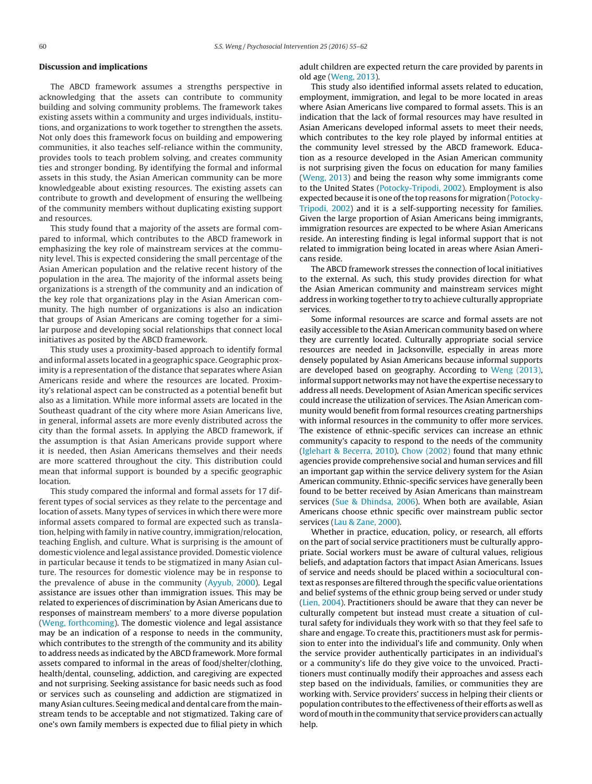### **Discussion and implications**

The ABCD framework assumes a strengths perspective in acknowledging that the assets can contribute to community building and solving community problems. The framework takes existing assets within a community and urges individuals, institutions, and organizations to work together to strengthen the assets. Not only does this framework focus on building and empowering communities, it also teaches self-reliance within the community, provides tools to teach problem solving, and creates community ties and stronger bonding. By identifying the formal and informal assets in this study, the Asian American community can be more knowledgeable about existing resources. The existing assets can contribute to growth and development of ensuring the wellbeing of the community members without duplicating existing support and resources.

This study found that a majority of the assets are formal compared to informal, which contributes to the ABCD framework in emphasizing the key role of mainstream services at the community level. This is expected considering the small percentage of the Asian American population and the relative recent history of the population in the area. The majority of the informal assets being organizations is a strength of the community and an indication of the key role that organizations play in the Asian American community. The high number of organizations is also an indication that groups of Asian Americans are coming together for a similar purpose and developing social relationships that connect local initiatives as posited by the ABCD framework.

This study uses a proximity-based approach to identify formal and informal assets located in a geographic space. Geographic proximity is a representation of the distance that separates where Asian Americans reside and where the resources are located. Proximity's relational aspect can be constructed as a potential benefit but also as a limitation. While more informal assets are located in the Southeast quadrant of the city where more Asian Americans live, in general, informal assets are more evenly distributed across the city than the formal assets. In applying the ABCD framework, if the assumption is that Asian Americans provide support where it is needed, then Asian Americans themselves and their needs are more scattered throughout the city. This distribution could mean that informal support is bounded by a specific geographic location.

This study compared the informal and formal assets for 17 different types of social services as they relate to the percentage and location of assets. Many types of services in which there were more informal assets compared to formal are expected such as translation, helping with family in native country, immigration/relocation, teaching English, and culture. What is surprising is the amount of domestic violence and legal assistance provided. Domestic violence in particular because it tends to be stigmatized in many Asian culture. The resources for domestic violence may be in response to the prevalence of abuse in the community ([Ayyub,](#page-6-0) [2000\).](#page-6-0) Legal assistance are issues other than immigration issues. This may be related to experiences of discrimination by Asian Americans due to responses of mainstream members' to a more diverse population ([Weng,](#page-7-0) [forthcoming\).](#page-7-0) The domestic violence and legal assistance may be an indication of a response to needs in the community, which contributes to the strength of the community and its ability to address needs as indicated by the ABCD framework. More formal assets compared to informal in the areas of food/shelter/clothing, health/dental, counseling, addiction, and caregiving are expected and not surprising. Seeking assistance for basic needs such as food or services such as counseling and addiction are stigmatized in many Asian cultures. Seeing medical and dental care from the mainstream tends to be acceptable and not stigmatized. Taking care of one's own family members is expected due to filial piety in which

adult children are expected return the care provided by parents in old age ([Weng,](#page-7-0) [2013\).](#page-7-0)

This study also identified informal assets related to education, employment, immigration, and legal to be more located in areas where Asian Americans live compared to formal assets. This is an indication that the lack of formal resources may have resulted in Asian Americans developed informal assets to meet their needs, which contributes to the key role played by informal entities at the community level stressed by the ABCD framework. Education as a resource developed in the Asian American community is not surprising given the focus on education for many families [\(Weng,](#page-7-0) [2013\)](#page-7-0) and being the reason why some immigrants come to the United States [\(Potocky-Tripodi,](#page-7-0) [2002\).](#page-7-0) Employment is also expected because it is one of the top reasons for migration [\(Potocky-](#page-7-0)Tripodi, [2002\)](#page-7-0) and it is a self-supporting necessity for families. Given the large proportion of Asian Americans being immigrants, immigration resources are expected to be where Asian Americans reside. An interesting finding is legal informal support that is not related to immigration being located in areas where Asian Americans reside.

The ABCD framework stresses the connection of local initiatives to the external. As such, this study provides direction for what the Asian American community and mainstream services might address in working together to try to achieve culturally appropriate services.

Some informal resources are scarce and formal assets are not easily accessible to the Asian American community based on where they are currently located. Culturally appropriate social service resources are needed in Jacksonville, especially in areas more densely populated by Asian Americans because informal supports are developed based on geography. According to [Weng](#page-7-0) [\(2013\),](#page-7-0) informal support networks may not have the expertise necessary to address all needs. Development of Asian American specific services could increase the utilization of services. The Asian American community would benefit from formal resources creating partnerships with informal resources in the community to offer more services. The existence of ethnic-specific services can increase an ethnic community's capacity to respond to the needs of the community [\(Iglehart](#page-6-0) [&](#page-6-0) [Becerra,](#page-6-0) [2010\).](#page-6-0) [Chow](#page-6-0) [\(2002\)](#page-6-0) found that many ethnic agencies provide comprehensive social and human services and fill an important gap within the service delivery system for the Asian American community. Ethnic-specific services have generally been found to be better received by Asian Americans than mainstream services [\(Sue](#page-7-0) [&](#page-7-0) [Dhindsa,](#page-7-0) [2006\).](#page-7-0) When both are available, Asian Americans choose ethnic specific over mainstream public sector services [\(Lau](#page-6-0) [&](#page-6-0) [Zane,](#page-6-0) [2000\).](#page-6-0)

Whether in practice, education, policy, or research, all efforts on the part of social service practitioners must be culturally appropriate. Social workers must be aware of cultural values, religious beliefs, and adaptation factors that impact Asian Americans. Issues of service and needs should be placed within a sociocultural context as responses are filtered through the specific value orientations and belief systems of the ethnic group being served or under study [\(Lien,](#page-6-0) [2004\).](#page-6-0) Practitioners should be aware that they can never be culturally competent but instead must create a situation of cultural safety for individuals they work with so that they feel safe to share and engage. To create this, practitioners must ask for permission to enter into the individual's life and community. Only when the service provider authentically participates in an individual's or a community's life do they give voice to the unvoiced. Practitioners must continually modify their approaches and assess each step based on the individuals, families, or communities they are working with. Service providers' success in helping their clients or population contributes to the effectiveness of their efforts as well as word of mouth in the community that service providers can actually help.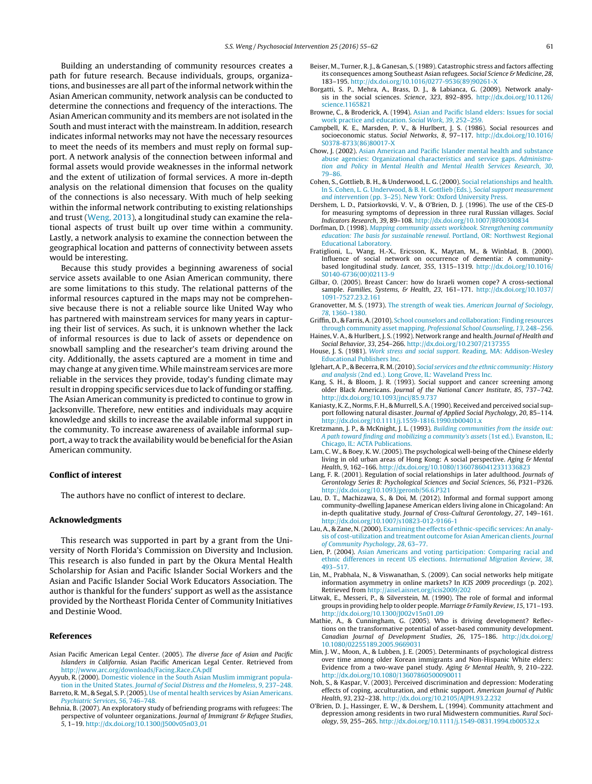<span id="page-6-0"></span>Building an understanding of community resources creates a path for future research. Because individuals, groups, organizations, and businesses are all part of the informal network within the Asian American community, network analysis can be conducted to determine the connections and frequency of the interactions. The Asian American community and its members are not isolated in the South and mustinteract with the mainstream. In addition, research indicates informal networks may not have the necessary resources to meet the needs of its members and must reply on formal support. A network analysis of the connection between informal and formal assets would provide weaknesses in the informal network and the extent of utilization of formal services. A more in-depth analysis on the relational dimension that focuses on the quality of the connections is also necessary. With much of help seeking within the informal network contributing to existing relationships and trust [\(Weng,](#page-7-0) [2013\),](#page-7-0) a longitudinal study can examine the relational aspects of trust built up over time within a community. Lastly, a network analysis to examine the connection between the geographical location and patterns of connectivity between assets would be interesting.

Because this study provides a beginning awareness of social service assets available to one Asian American community, there are some limitations to this study. The relational patterns of the informal resources captured in the maps may not be comprehensive because there is not a reliable source like United Way who has partnered with mainstream services for many years in capturing their list of services. As such, it is unknown whether the lack of informal resources is due to lack of assets or dependence on snowball sampling and the researcher's team driving around the city. Additionally, the assets captured are a moment in time and may change at any given time. While mainstream services are more reliable in the services they provide, today's funding climate may result in dropping specific services due to lack of funding or staffing. The Asian American community is predicted to continue to grow in Jacksonville. Therefore, new entities and individuals may acquire knowledge and skills to increase the available informal support in the community. To increase awareness of available informal support, a way to track the availability would be beneficial for the Asian American community.

#### **Conflict of interest**

The authors have no conflict of interest to declare.

#### **Acknowledgments**

This research was supported in part by a grant from the University of North Florida's Commission on Diversity and Inclusion. This research is also funded in part by the Okura Mental Health Scholarship for Asian and Pacific Islander Social Workers and the Asian and Pacific Islander Social Work Educators Association. The author is thankful for the funders' support as well as the assistance provided by the Northeast Florida Center of Community Initiatives and Destinie Wood.

#### **References**

- Asian Pacific American Legal Center. (2005). The diverse face of Asian and Pacific Islanders in California. Asian Pacific American Legal Center. Retrieved from [http://www.arc.org/downloads/Facing](http://www.arc.org/downloads/Facing_Race_CA.pdf) Race CA.pdf
- Ayyub, R. (2000). [Domestic](http://refhub.elsevier.com/S1132-0559(15)00030-7/sbref0015) [violence](http://refhub.elsevier.com/S1132-0559(15)00030-7/sbref0015) [in](http://refhub.elsevier.com/S1132-0559(15)00030-7/sbref0015) [the](http://refhub.elsevier.com/S1132-0559(15)00030-7/sbref0015) [South](http://refhub.elsevier.com/S1132-0559(15)00030-7/sbref0015) [Asian](http://refhub.elsevier.com/S1132-0559(15)00030-7/sbref0015) [Muslim](http://refhub.elsevier.com/S1132-0559(15)00030-7/sbref0015) [immigrant](http://refhub.elsevier.com/S1132-0559(15)00030-7/sbref0015) [popula](http://refhub.elsevier.com/S1132-0559(15)00030-7/sbref0015)[tion](http://refhub.elsevier.com/S1132-0559(15)00030-7/sbref0015) [in](http://refhub.elsevier.com/S1132-0559(15)00030-7/sbref0015) [the](http://refhub.elsevier.com/S1132-0559(15)00030-7/sbref0015) [United](http://refhub.elsevier.com/S1132-0559(15)00030-7/sbref0015) [States.](http://refhub.elsevier.com/S1132-0559(15)00030-7/sbref0015) [Journal](http://refhub.elsevier.com/S1132-0559(15)00030-7/sbref0015) [of](http://refhub.elsevier.com/S1132-0559(15)00030-7/sbref0015) [Social](http://refhub.elsevier.com/S1132-0559(15)00030-7/sbref0015) [Distress](http://refhub.elsevier.com/S1132-0559(15)00030-7/sbref0015) [and](http://refhub.elsevier.com/S1132-0559(15)00030-7/sbref0015) [the](http://refhub.elsevier.com/S1132-0559(15)00030-7/sbref0015) [Homeless](http://refhub.elsevier.com/S1132-0559(15)00030-7/sbref0015)[,](http://refhub.elsevier.com/S1132-0559(15)00030-7/sbref0015) [9](http://refhub.elsevier.com/S1132-0559(15)00030-7/sbref0015)[,](http://refhub.elsevier.com/S1132-0559(15)00030-7/sbref0015) [237](http://refhub.elsevier.com/S1132-0559(15)00030-7/sbref0015)–[248.](http://refhub.elsevier.com/S1132-0559(15)00030-7/sbref0015) Barreto, R. M., & Segal, S. P.(2005). [Use](http://refhub.elsevier.com/S1132-0559(15)00030-7/sbref0020) [of](http://refhub.elsevier.com/S1132-0559(15)00030-7/sbref0020) [mental](http://refhub.elsevier.com/S1132-0559(15)00030-7/sbref0020) [health](http://refhub.elsevier.com/S1132-0559(15)00030-7/sbref0020) [services](http://refhub.elsevier.com/S1132-0559(15)00030-7/sbref0020) [by](http://refhub.elsevier.com/S1132-0559(15)00030-7/sbref0020) [Asian](http://refhub.elsevier.com/S1132-0559(15)00030-7/sbref0020) [Americans.](http://refhub.elsevier.com/S1132-0559(15)00030-7/sbref0020)
- [Psychiatric](http://refhub.elsevier.com/S1132-0559(15)00030-7/sbref0020) [Services](http://refhub.elsevier.com/S1132-0559(15)00030-7/sbref0020)[,](http://refhub.elsevier.com/S1132-0559(15)00030-7/sbref0020) [56](http://refhub.elsevier.com/S1132-0559(15)00030-7/sbref0020)[,](http://refhub.elsevier.com/S1132-0559(15)00030-7/sbref0020) [746](http://refhub.elsevier.com/S1132-0559(15)00030-7/sbref0020)–[748.](http://refhub.elsevier.com/S1132-0559(15)00030-7/sbref0020) Behnia, B. (2007). An exploratory study of befriending programs with refugees: The perspective of volunteer organizations. Journal of Immigrant & Refugee Studies,
	- 5, 1–19. [http://dx.doi.org/10.1300/J500v05n03](dx.doi.org/10.1300/J500v05n03_01) 01
- Beiser, M., Turner, R. J., & Ganesan, S.(1989). Catastrophic stress and factors affecting its consequences among Southeast Asian refugees. Social Science & Medicine, 28, 183–195. [http://dx.doi.org/10.1016/0277-9536\(89\)90261-X](dx.doi.org/10.1016/0277-9536(89)90261-X)
- Borgatti, S. P., Mehra, A., Brass, D. J., & Labianca, G. (2009). Network analysis in the social sciences. Science, 323, 892–895. [http://dx.doi.org/10.1126/](dx.doi.org/10.1126/science.1165821) [science.1165821](dx.doi.org/10.1126/science.1165821)
- Browne, C., & Broderick, A. (1994). [Asian](http://refhub.elsevier.com/S1132-0559(15)00030-7/sbref0040) [and](http://refhub.elsevier.com/S1132-0559(15)00030-7/sbref0040) [Pacific](http://refhub.elsevier.com/S1132-0559(15)00030-7/sbref0040) [Island](http://refhub.elsevier.com/S1132-0559(15)00030-7/sbref0040) [elders:](http://refhub.elsevier.com/S1132-0559(15)00030-7/sbref0040) [Issues](http://refhub.elsevier.com/S1132-0559(15)00030-7/sbref0040) [for](http://refhub.elsevier.com/S1132-0559(15)00030-7/sbref0040) [social](http://refhub.elsevier.com/S1132-0559(15)00030-7/sbref0040) [work](http://refhub.elsevier.com/S1132-0559(15)00030-7/sbref0040) [practice](http://refhub.elsevier.com/S1132-0559(15)00030-7/sbref0040) [and](http://refhub.elsevier.com/S1132-0559(15)00030-7/sbref0040) [education.](http://refhub.elsevier.com/S1132-0559(15)00030-7/sbref0040) [Social](http://refhub.elsevier.com/S1132-0559(15)00030-7/sbref0040) [Work](http://refhub.elsevier.com/S1132-0559(15)00030-7/sbref0040)[,](http://refhub.elsevier.com/S1132-0559(15)00030-7/sbref0040) [39](http://refhub.elsevier.com/S1132-0559(15)00030-7/sbref0040)[,](http://refhub.elsevier.com/S1132-0559(15)00030-7/sbref0040) [252–259.](http://refhub.elsevier.com/S1132-0559(15)00030-7/sbref0040)
- Campbell, K. E., Marsden, P. V., & Hurlbert, J. S. (1986). Social resources and socioeconomic status. Social Networks, 8, 97-117. [http://dx.doi.org/10.1016/](dx.doi.org/10.1016/S0378-8733(86)80017-X) [S0378-8733\(86\)80017-X](dx.doi.org/10.1016/S0378-8733(86)80017-X)
- Chow, J. (2002). [Asian](http://refhub.elsevier.com/S1132-0559(15)00030-7/sbref0050) [American](http://refhub.elsevier.com/S1132-0559(15)00030-7/sbref0050) [and](http://refhub.elsevier.com/S1132-0559(15)00030-7/sbref0050) [Pacific](http://refhub.elsevier.com/S1132-0559(15)00030-7/sbref0050) [Islander](http://refhub.elsevier.com/S1132-0559(15)00030-7/sbref0050) [mental](http://refhub.elsevier.com/S1132-0559(15)00030-7/sbref0050) [health](http://refhub.elsevier.com/S1132-0559(15)00030-7/sbref0050) [and](http://refhub.elsevier.com/S1132-0559(15)00030-7/sbref0050) [substance](http://refhub.elsevier.com/S1132-0559(15)00030-7/sbref0050) [abuse](http://refhub.elsevier.com/S1132-0559(15)00030-7/sbref0050) [agencies:](http://refhub.elsevier.com/S1132-0559(15)00030-7/sbref0050) [Organizational](http://refhub.elsevier.com/S1132-0559(15)00030-7/sbref0050) [characteristics](http://refhub.elsevier.com/S1132-0559(15)00030-7/sbref0050) [and](http://refhub.elsevier.com/S1132-0559(15)00030-7/sbref0050) [service](http://refhub.elsevier.com/S1132-0559(15)00030-7/sbref0050) [gaps.](http://refhub.elsevier.com/S1132-0559(15)00030-7/sbref0050) [Administra](http://refhub.elsevier.com/S1132-0559(15)00030-7/sbref0050)[tion](http://refhub.elsevier.com/S1132-0559(15)00030-7/sbref0050) [and](http://refhub.elsevier.com/S1132-0559(15)00030-7/sbref0050) [Policy](http://refhub.elsevier.com/S1132-0559(15)00030-7/sbref0050) [in](http://refhub.elsevier.com/S1132-0559(15)00030-7/sbref0050) [Mental](http://refhub.elsevier.com/S1132-0559(15)00030-7/sbref0050) [Health](http://refhub.elsevier.com/S1132-0559(15)00030-7/sbref0050) [and](http://refhub.elsevier.com/S1132-0559(15)00030-7/sbref0050) [Mental](http://refhub.elsevier.com/S1132-0559(15)00030-7/sbref0050) [Health](http://refhub.elsevier.com/S1132-0559(15)00030-7/sbref0050) [Services](http://refhub.elsevier.com/S1132-0559(15)00030-7/sbref0050) [Research](http://refhub.elsevier.com/S1132-0559(15)00030-7/sbref0050)[,](http://refhub.elsevier.com/S1132-0559(15)00030-7/sbref0050) [30](http://refhub.elsevier.com/S1132-0559(15)00030-7/sbref0050), [79–86.](http://refhub.elsevier.com/S1132-0559(15)00030-7/sbref0050)
- Cohen, S., Gottlieb, B. H., & Underwood, L. G. (2000). [Social](http://refhub.elsevier.com/S1132-0559(15)00030-7/sbref0055) [relationships](http://refhub.elsevier.com/S1132-0559(15)00030-7/sbref0055) [and](http://refhub.elsevier.com/S1132-0559(15)00030-7/sbref0055) [health.](http://refhub.elsevier.com/S1132-0559(15)00030-7/sbref0055) [In](http://refhub.elsevier.com/S1132-0559(15)00030-7/sbref0055) [S.](http://refhub.elsevier.com/S1132-0559(15)00030-7/sbref0055) [Cohen,](http://refhub.elsevier.com/S1132-0559(15)00030-7/sbref0055) [L.](http://refhub.elsevier.com/S1132-0559(15)00030-7/sbref0055) [G.](http://refhub.elsevier.com/S1132-0559(15)00030-7/sbref0055) [Underwood,](http://refhub.elsevier.com/S1132-0559(15)00030-7/sbref0055) [&](http://refhub.elsevier.com/S1132-0559(15)00030-7/sbref0055) [B.](http://refhub.elsevier.com/S1132-0559(15)00030-7/sbref0055) [H.](http://refhub.elsevier.com/S1132-0559(15)00030-7/sbref0055) [Gottlieb](http://refhub.elsevier.com/S1132-0559(15)00030-7/sbref0055) [\(Eds.\),](http://refhub.elsevier.com/S1132-0559(15)00030-7/sbref0055) [Social](http://refhub.elsevier.com/S1132-0559(15)00030-7/sbref0055) [support](http://refhub.elsevier.com/S1132-0559(15)00030-7/sbref0055) [measurement](http://refhub.elsevier.com/S1132-0559(15)00030-7/sbref0055) [and](http://refhub.elsevier.com/S1132-0559(15)00030-7/sbref0055) [intervention](http://refhub.elsevier.com/S1132-0559(15)00030-7/sbref0055) [\(pp.](http://refhub.elsevier.com/S1132-0559(15)00030-7/sbref0055) [3–25\).](http://refhub.elsevier.com/S1132-0559(15)00030-7/sbref0055) [New](http://refhub.elsevier.com/S1132-0559(15)00030-7/sbref0055) [York:](http://refhub.elsevier.com/S1132-0559(15)00030-7/sbref0055) [Oxford](http://refhub.elsevier.com/S1132-0559(15)00030-7/sbref0055) [University](http://refhub.elsevier.com/S1132-0559(15)00030-7/sbref0055) [Press.](http://refhub.elsevier.com/S1132-0559(15)00030-7/sbref0055)
- Dershem, L. D., Patsiorkovski, V. V., & O'Brien, D. J. (1996). The use of the CES-D for measuring symptoms of depression in three rural Russian villages. Social Indicators Research, 39, 89–108. [http://dx.doi.org/10.1007/BF00300834](dx.doi.org/10.1007/BF00300834)
- Dorfman, D. (1998). [Mapping](http://refhub.elsevier.com/S1132-0559(15)00030-7/sbref0065) [community](http://refhub.elsevier.com/S1132-0559(15)00030-7/sbref0065) [assets](http://refhub.elsevier.com/S1132-0559(15)00030-7/sbref0065) [workbook.](http://refhub.elsevier.com/S1132-0559(15)00030-7/sbref0065) [Strengthening](http://refhub.elsevier.com/S1132-0559(15)00030-7/sbref0065) [community](http://refhub.elsevier.com/S1132-0559(15)00030-7/sbref0065) [education:](http://refhub.elsevier.com/S1132-0559(15)00030-7/sbref0065) [The](http://refhub.elsevier.com/S1132-0559(15)00030-7/sbref0065) [basis](http://refhub.elsevier.com/S1132-0559(15)00030-7/sbref0065) [for](http://refhub.elsevier.com/S1132-0559(15)00030-7/sbref0065) [sustainable](http://refhub.elsevier.com/S1132-0559(15)00030-7/sbref0065) [renewal](http://refhub.elsevier.com/S1132-0559(15)00030-7/sbref0065)[.](http://refhub.elsevier.com/S1132-0559(15)00030-7/sbref0065) [Portland,](http://refhub.elsevier.com/S1132-0559(15)00030-7/sbref0065) [OR:](http://refhub.elsevier.com/S1132-0559(15)00030-7/sbref0065) [Northwest](http://refhub.elsevier.com/S1132-0559(15)00030-7/sbref0065) [Regional](http://refhub.elsevier.com/S1132-0559(15)00030-7/sbref0065) [Educational](http://refhub.elsevier.com/S1132-0559(15)00030-7/sbref0065) [Laboratory.](http://refhub.elsevier.com/S1132-0559(15)00030-7/sbref0065)
- Fratiglioni, L., Wang, H.-X., Ericsson, K., Maytan, M., & Winblad, B. (2000). Influence of social network on occurrence of dementia: A communitybased longitudinal study. Lancet, 355, 1315–1319. [http://dx.doi.org/10.1016/](dx.doi.org/10.1016/S0140-6736(00)02113-9) [S0140-6736\(00\)02113-9](dx.doi.org/10.1016/S0140-6736(00)02113-9)
- Gilbar, O. (2005). Breast Cancer: how do Israeli women cope? A cross-sectional sample. Families, Systems, & Health, 23, 161-171. [http://dx.doi.org/10.1037/](dx.doi.org/10.1037/1091-7527.23.2.161) [1091-7527.23.2.161](dx.doi.org/10.1037/1091-7527.23.2.161)
- Granovetter, M. S. (1973). [The](http://refhub.elsevier.com/S1132-0559(15)00030-7/sbref0080) [strength](http://refhub.elsevier.com/S1132-0559(15)00030-7/sbref0080) [of](http://refhub.elsevier.com/S1132-0559(15)00030-7/sbref0080) [weak](http://refhub.elsevier.com/S1132-0559(15)00030-7/sbref0080) [ties.](http://refhub.elsevier.com/S1132-0559(15)00030-7/sbref0080) [American](http://refhub.elsevier.com/S1132-0559(15)00030-7/sbref0080) [Journal](http://refhub.elsevier.com/S1132-0559(15)00030-7/sbref0080) [of](http://refhub.elsevier.com/S1132-0559(15)00030-7/sbref0080) [Sociology](http://refhub.elsevier.com/S1132-0559(15)00030-7/sbref0080), [78](http://refhub.elsevier.com/S1132-0559(15)00030-7/sbref0080)[,](http://refhub.elsevier.com/S1132-0559(15)00030-7/sbref0080) [1360](http://refhub.elsevier.com/S1132-0559(15)00030-7/sbref0080)–[1380.](http://refhub.elsevier.com/S1132-0559(15)00030-7/sbref0080)
- Griffin, D., & Farris, A.(2010). [School](http://refhub.elsevier.com/S1132-0559(15)00030-7/sbref0085) [counselors](http://refhub.elsevier.com/S1132-0559(15)00030-7/sbref0085) [and](http://refhub.elsevier.com/S1132-0559(15)00030-7/sbref0085) [collaboration:](http://refhub.elsevier.com/S1132-0559(15)00030-7/sbref0085) [Finding](http://refhub.elsevier.com/S1132-0559(15)00030-7/sbref0085) [resources](http://refhub.elsevier.com/S1132-0559(15)00030-7/sbref0085) [through](http://refhub.elsevier.com/S1132-0559(15)00030-7/sbref0085) [community](http://refhub.elsevier.com/S1132-0559(15)00030-7/sbref0085) [asset](http://refhub.elsevier.com/S1132-0559(15)00030-7/sbref0085) [mapping.](http://refhub.elsevier.com/S1132-0559(15)00030-7/sbref0085) [Professional](http://refhub.elsevier.com/S1132-0559(15)00030-7/sbref0085) [School](http://refhub.elsevier.com/S1132-0559(15)00030-7/sbref0085) [Counseling](http://refhub.elsevier.com/S1132-0559(15)00030-7/sbref0085)[,](http://refhub.elsevier.com/S1132-0559(15)00030-7/sbref0085) [13](http://refhub.elsevier.com/S1132-0559(15)00030-7/sbref0085)[,](http://refhub.elsevier.com/S1132-0559(15)00030-7/sbref0085) [248](http://refhub.elsevier.com/S1132-0559(15)00030-7/sbref0085)–[256.](http://refhub.elsevier.com/S1132-0559(15)00030-7/sbref0085) Haines, V. A., & Hurlbert, J. S. (1992). Network range and health. Journal of Health and
- Social Behavior, 33, 254–266. [http://dx.doi.org/10.2307/2137355](dx.doi.org/10.2307/2137355)
- House, J. S. (1981). [Work](http://refhub.elsevier.com/S1132-0559(15)00030-7/sbref0095) [stress](http://refhub.elsevier.com/S1132-0559(15)00030-7/sbref0095) [and](http://refhub.elsevier.com/S1132-0559(15)00030-7/sbref0095) [social](http://refhub.elsevier.com/S1132-0559(15)00030-7/sbref0095) [support](http://refhub.elsevier.com/S1132-0559(15)00030-7/sbref0095)[.](http://refhub.elsevier.com/S1132-0559(15)00030-7/sbref0095) [Reading,](http://refhub.elsevier.com/S1132-0559(15)00030-7/sbref0095) [MA:](http://refhub.elsevier.com/S1132-0559(15)00030-7/sbref0095) [Addison-Wesley](http://refhub.elsevier.com/S1132-0559(15)00030-7/sbref0095) [Educational](http://refhub.elsevier.com/S1132-0559(15)00030-7/sbref0095) [Publishers](http://refhub.elsevier.com/S1132-0559(15)00030-7/sbref0095) [Inc.](http://refhub.elsevier.com/S1132-0559(15)00030-7/sbref0095)
- Iglehart, A. P., & Becerra, R. M. (2010). [Social](http://refhub.elsevier.com/S1132-0559(15)00030-7/sbref0100) [services](http://refhub.elsevier.com/S1132-0559(15)00030-7/sbref0100) [and](http://refhub.elsevier.com/S1132-0559(15)00030-7/sbref0100) [the](http://refhub.elsevier.com/S1132-0559(15)00030-7/sbref0100) [ethnic](http://refhub.elsevier.com/S1132-0559(15)00030-7/sbref0100) [community:](http://refhub.elsevier.com/S1132-0559(15)00030-7/sbref0100) [History](http://refhub.elsevier.com/S1132-0559(15)00030-7/sbref0100) [and](http://refhub.elsevier.com/S1132-0559(15)00030-7/sbref0100) [analysis](http://refhub.elsevier.com/S1132-0559(15)00030-7/sbref0100) [\(2nd](http://refhub.elsevier.com/S1132-0559(15)00030-7/sbref0100) [ed.\).](http://refhub.elsevier.com/S1132-0559(15)00030-7/sbref0100) [Long](http://refhub.elsevier.com/S1132-0559(15)00030-7/sbref0100) [Grove,](http://refhub.elsevier.com/S1132-0559(15)00030-7/sbref0100) [IL:](http://refhub.elsevier.com/S1132-0559(15)00030-7/sbref0100) [Waveland](http://refhub.elsevier.com/S1132-0559(15)00030-7/sbref0100) [Press](http://refhub.elsevier.com/S1132-0559(15)00030-7/sbref0100) [Inc.](http://refhub.elsevier.com/S1132-0559(15)00030-7/sbref0100)
- Kang, S. H., & Bloom, J. R. (1993). Social support and cancer screening among older Black Americans. Journal of the National Cancer Institute, 85, 737–742. [http://dx.doi.org/10.1093/jnci/85.9.737](dx.doi.org/10.1093/jnci/85.9.737)
- Kaniasty, K. Z., Norms, F. H., & Murrell, S. A. (1990). Received and perceived social support following natural disaster. Journal of Applied Social Psychology, 20, 85–114. [http://dx.doi.org/10.1111/j.1559-1816.1990.tb00401.x](dx.doi.org/10.1111/j.1559-1816.1990.tb00401.x)
- Kretzmann, J. P., & McKnight, J. L. (1993). [Building](http://refhub.elsevier.com/S1132-0559(15)00030-7/sbref0115) [communities](http://refhub.elsevier.com/S1132-0559(15)00030-7/sbref0115) [from](http://refhub.elsevier.com/S1132-0559(15)00030-7/sbref0115) [the](http://refhub.elsevier.com/S1132-0559(15)00030-7/sbref0115) [inside](http://refhub.elsevier.com/S1132-0559(15)00030-7/sbref0115) [out:](http://refhub.elsevier.com/S1132-0559(15)00030-7/sbref0115) [A](http://refhub.elsevier.com/S1132-0559(15)00030-7/sbref0115) [path](http://refhub.elsevier.com/S1132-0559(15)00030-7/sbref0115) [toward](http://refhub.elsevier.com/S1132-0559(15)00030-7/sbref0115) [finding](http://refhub.elsevier.com/S1132-0559(15)00030-7/sbref0115) [and](http://refhub.elsevier.com/S1132-0559(15)00030-7/sbref0115) [mobilizing](http://refhub.elsevier.com/S1132-0559(15)00030-7/sbref0115) [a](http://refhub.elsevier.com/S1132-0559(15)00030-7/sbref0115) [community's](http://refhub.elsevier.com/S1132-0559(15)00030-7/sbref0115) [assets](http://refhub.elsevier.com/S1132-0559(15)00030-7/sbref0115) [\(1st](http://refhub.elsevier.com/S1132-0559(15)00030-7/sbref0115) [ed.\).](http://refhub.elsevier.com/S1132-0559(15)00030-7/sbref0115) [Evanston,](http://refhub.elsevier.com/S1132-0559(15)00030-7/sbref0115) [IL;](http://refhub.elsevier.com/S1132-0559(15)00030-7/sbref0115) [Chicago,](http://refhub.elsevier.com/S1132-0559(15)00030-7/sbref0115) [IL:](http://refhub.elsevier.com/S1132-0559(15)00030-7/sbref0115) [ACTA](http://refhub.elsevier.com/S1132-0559(15)00030-7/sbref0115) [Publications.](http://refhub.elsevier.com/S1132-0559(15)00030-7/sbref0115)
- Lam, C. W., & Boey, K. W. (2005). The psychological well-being of the Chinese elderly living in old urban areas of Hong Kong: A social perspective. Aging & Mental Health, 9, 162–166. [http://dx.doi.org/10.1080/13607860412331336823](dx.doi.org/10.1080/13607860412331336823)
- Lang, F. R. (2001). Regulation of social relationships in later adulthood. Journals of Gerontology Series B: Psychological Sciences and Social Sciences, 56, P321–P326. [http://dx.doi.org/10.1093/geronb/56.6.P321](dx.doi.org/10.1093/geronb/56.6.P321)
- Lau, D. T., Machizawa, S., & Doi, M. (2012). Informal and formal support among community-dwelling Japanese American elders living alone in Chicagoland: An in-depth qualitative study. Journal of Cross-Cultural Gerontology, 27, 149–161. [http://dx.doi.org/10.1007/s10823-012-9166-1](dx.doi.org/10.1007/s10823-012-9166-1)
- Lau, A., & Zane, N.(2000). [Examining](http://refhub.elsevier.com/S1132-0559(15)00030-7/sbref0130) [the](http://refhub.elsevier.com/S1132-0559(15)00030-7/sbref0130) [effects](http://refhub.elsevier.com/S1132-0559(15)00030-7/sbref0130) [of](http://refhub.elsevier.com/S1132-0559(15)00030-7/sbref0130) [ethnic-specific](http://refhub.elsevier.com/S1132-0559(15)00030-7/sbref0130) [services:](http://refhub.elsevier.com/S1132-0559(15)00030-7/sbref0130) [An](http://refhub.elsevier.com/S1132-0559(15)00030-7/sbref0130) [analy](http://refhub.elsevier.com/S1132-0559(15)00030-7/sbref0130)[sis](http://refhub.elsevier.com/S1132-0559(15)00030-7/sbref0130) [of](http://refhub.elsevier.com/S1132-0559(15)00030-7/sbref0130) [cost-utilization](http://refhub.elsevier.com/S1132-0559(15)00030-7/sbref0130) [and](http://refhub.elsevier.com/S1132-0559(15)00030-7/sbref0130) [treatment](http://refhub.elsevier.com/S1132-0559(15)00030-7/sbref0130) [outcome](http://refhub.elsevier.com/S1132-0559(15)00030-7/sbref0130) [for](http://refhub.elsevier.com/S1132-0559(15)00030-7/sbref0130) [Asian](http://refhub.elsevier.com/S1132-0559(15)00030-7/sbref0130) [American](http://refhub.elsevier.com/S1132-0559(15)00030-7/sbref0130) [clients.](http://refhub.elsevier.com/S1132-0559(15)00030-7/sbref0130) [Journal](http://refhub.elsevier.com/S1132-0559(15)00030-7/sbref0130) [of](http://refhub.elsevier.com/S1132-0559(15)00030-7/sbref0130) [Community](http://refhub.elsevier.com/S1132-0559(15)00030-7/sbref0130) [Psychology](http://refhub.elsevier.com/S1132-0559(15)00030-7/sbref0130)[,](http://refhub.elsevier.com/S1132-0559(15)00030-7/sbref0130) [28](http://refhub.elsevier.com/S1132-0559(15)00030-7/sbref0130)[,](http://refhub.elsevier.com/S1132-0559(15)00030-7/sbref0130) [63](http://refhub.elsevier.com/S1132-0559(15)00030-7/sbref0130)–[77.](http://refhub.elsevier.com/S1132-0559(15)00030-7/sbref0130)
- Lien, P. (2004). [Asian](http://refhub.elsevier.com/S1132-0559(15)00030-7/sbref0140) [Americans](http://refhub.elsevier.com/S1132-0559(15)00030-7/sbref0140) [and](http://refhub.elsevier.com/S1132-0559(15)00030-7/sbref0140) [voting](http://refhub.elsevier.com/S1132-0559(15)00030-7/sbref0140) [participation:](http://refhub.elsevier.com/S1132-0559(15)00030-7/sbref0140) [Comparing](http://refhub.elsevier.com/S1132-0559(15)00030-7/sbref0140) [racial](http://refhub.elsevier.com/S1132-0559(15)00030-7/sbref0140) [and](http://refhub.elsevier.com/S1132-0559(15)00030-7/sbref0140) [ethnic](http://refhub.elsevier.com/S1132-0559(15)00030-7/sbref0140) [differences](http://refhub.elsevier.com/S1132-0559(15)00030-7/sbref0140) [in](http://refhub.elsevier.com/S1132-0559(15)00030-7/sbref0140) [recent](http://refhub.elsevier.com/S1132-0559(15)00030-7/sbref0140) [US](http://refhub.elsevier.com/S1132-0559(15)00030-7/sbref0140) [elections.](http://refhub.elsevier.com/S1132-0559(15)00030-7/sbref0140) [International](http://refhub.elsevier.com/S1132-0559(15)00030-7/sbref0140) [Migration](http://refhub.elsevier.com/S1132-0559(15)00030-7/sbref0140) [Review](http://refhub.elsevier.com/S1132-0559(15)00030-7/sbref0140)[,](http://refhub.elsevier.com/S1132-0559(15)00030-7/sbref0140) [38](http://refhub.elsevier.com/S1132-0559(15)00030-7/sbref0140), [493](http://refhub.elsevier.com/S1132-0559(15)00030-7/sbref0140)–[517.](http://refhub.elsevier.com/S1132-0559(15)00030-7/sbref0140)
- Lin, M., Prabhala, N., & Viswanathan, S. (2009). Can social networks help mitigate information asymmetry in online markets? In ICIS 2009 proceedings (p. 202). Retrieved from <http://aisel.aisnet.org/icis2009/202>
- Litwak, E., Messeri, P., & Silverstein, M. (1990). The role of formal and informal groups in providing help to older people. Marriage & Family Review, 15, 171-193. [http://dx.doi.org/10.1300/J002v15n01](dx.doi.org/10.1300/J002v15n01_09) 09
- Mathie, A., & Cunningham, G. (2005). Who is driving development? Reflections on the transformative potential of asset-based community development. Canadian Journal of Development Studies, 26, 175–186. [http://dx.doi.org/](dx.doi.org/10.1080/02255189.2005.9669031) [10.1080/02255189.2005.9669031](dx.doi.org/10.1080/02255189.2005.9669031)
- Min, J. W., Moon, A., & Lubben, J. E. (2005). Determinants of psychological distress over time among older Korean immigrants and Non-Hispanic White elders: Evidence from a two-wave panel study. Aging & Mental Health, 9, 210–222. [http://dx.doi.org/10.1080/13607860500090011](dx.doi.org/10.1080/13607860500090011)
- Noh, S., & Kaspar, V. (2003). Perceived discrimination and depression: Moderating effects of coping, acculturation, and ethnic support. American Journal of Public Health, 93, 232–238. [http://dx.doi.org/10.2105/AJPH.93.2.232](dx.doi.org/10.2105/AJPH.93.2.232)
- O'Brien, D. J., Hassinger, E. W., & Dershem, L. (1994). Community attachment and depression among residents in two rural Midwestern communities. Rural Sociology, 59, 255–265. [http://dx.doi.org/10.1111/j.1549-0831.1994.tb00532.x](dx.doi.org/10.1111/j.1549-0831.1994.tb00532.x)